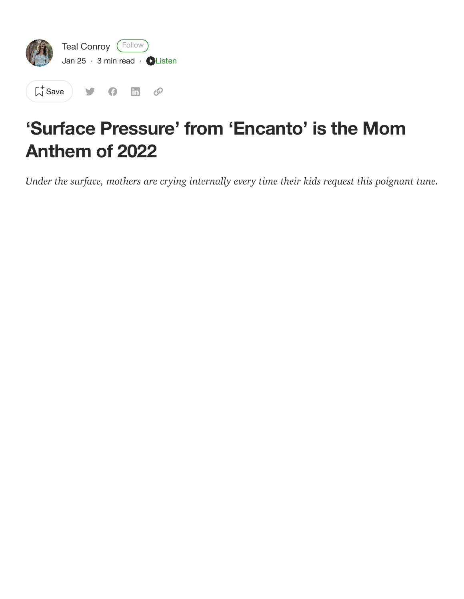

 $\left[\begin{matrix} 1 \\ 1 \end{matrix}\right]$  [Save](https://medium.com/m/signin?actionUrl=https%3A%2F%2Fmedium.com%2F_%2Fbookmark%2Fp%2F1af938b64602&operation=register&redirect=https%3A%2F%2Fmedium.com%2F%40tealconroy%2Fsurface-pressure-from-encanto-is-the-mom-anthem-of-2022-1af938b64602&source=--------------------------bookmark_header-----------)  $9 \oplus \oplus$ 

## **'Surface Pressure' from 'Encanto' is the Mom Anthem of 2022**

*Under the surface, mothers are crying internally every time their kids request this poignant tune.*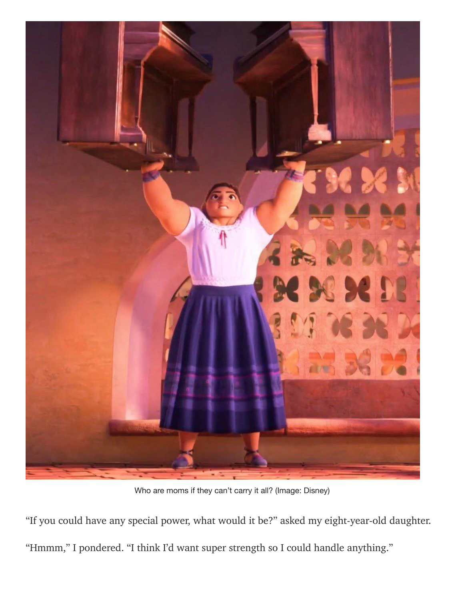

Who are moms if they can't carry it all? (Image: Disney)

"If you could have any special power, what would it be?" asked my eight-year-old daughter. "Hmmm," I pondered. "I think I'd want super strength so I could handle anything."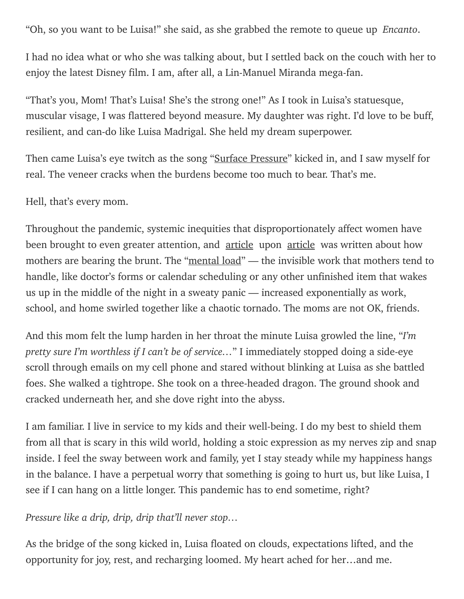"Oh, so you want to be Luisa!" she said, as she grabbed the remote to queue up *Encanto*.

I had no idea what or who she was talking about, but I settled back on the couch with her to enjoy the latest Disney film. I am, after all, a Lin-Manuel Miranda mega-fan.

"That's you, Mom! That's Luisa! She's the strong one!" As I took in Luisa's statuesque, muscular visage, I was flattered beyond measure. My daughter was right. I'd love to be buff, resilient, and can-do like Luisa Madrigal. She held my dream superpower.

Then came Luisa's eye twitch as the song "Surface [Pressure"](https://www.youtube.com/watch?v=tQwVKr8rCYw) kicked in, and I saw myself for real. The veneer cracks when the burdens become too much to bear. That's me.

Hell, that's every mom.

Throughout the pandemic, systemic inequities that disproportionately affect women have been brought to even greater attention, and [article](https://www.thecut.com/2021/08/the-pandemic-is-just-getting-worse-for-parents.html) upon article was written about how mothers are bearing the brunt. The "[mental](https://www.today.com/parents/mental-load-coronavirus-pandemic-means-moms-take-more-t179021) load" — the invisible work that mothers tend to handle, like doctor's forms or calendar scheduling or any other unfinished item that wakes us up in the middle of the night in a sweaty panic — increased exponentially as work, school, and home swirled together like a chaotic tornado. The moms are not OK, friends.

And this mom felt the lump harden in her throat the minute Luisa growled the line, "*I'm pretty sure I'm worthless if I can't be of service…*" I immediately stopped doing a side-eye scroll through emails on my cell phone and stared without blinking at Luisa as she battled foes. She walked a tightrope. She took on a three-headed dragon. The ground shook and cracked underneath her, and she dove right into the abyss.

I am familiar. I live in service to my kids and their well-being. I do my best to shield them from all that is scary in this wild world, holding a stoic expression as my nerves zip and snap inside. I feel the sway between work and family, yet I stay steady while my happiness hangs in the balance. I have a perpetual worry that something is going to hurt us, but like Luisa, I see if I can hang on a little longer. This pandemic has to end sometime, right?

*Pressure like a drip, drip, drip that'll never stop…*

As the bridge of the song kicked in, Luisa floated on clouds, expectations lifted, and the opportunity for joy, rest, and recharging loomed. My heart ached for her…and me.